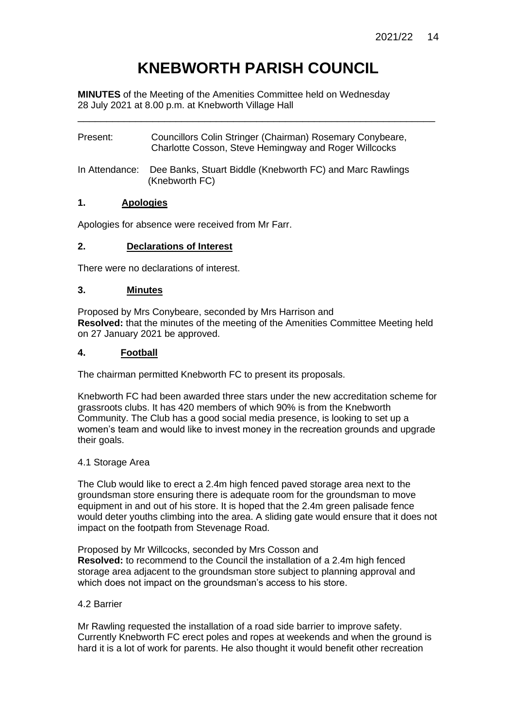# **KNEBWORTH PARISH COUNCIL**

\_\_\_\_\_\_\_\_\_\_\_\_\_\_\_\_\_\_\_\_\_\_\_\_\_\_\_\_\_\_\_\_\_\_\_\_\_\_\_\_\_\_\_\_\_\_\_\_\_\_\_\_\_\_\_\_\_\_\_\_\_\_

**MINUTES** of the Meeting of the Amenities Committee held on Wednesday 28 July 2021 at 8.00 p.m. at Knebworth Village Hall

| Present: | Councillors Colin Stringer (Chairman) Rosemary Conybeare, |
|----------|-----------------------------------------------------------|
|          | Charlotte Cosson, Steve Hemingway and Roger Willcocks     |

In Attendance: Dee Banks, Stuart Biddle (Knebworth FC) and Marc Rawlings (Knebworth FC)

## **1. Apologies**

Apologies for absence were received from Mr Farr.

## **2. Declarations of Interest**

There were no declarations of interest.

### **3. Minutes**

Proposed by Mrs Conybeare, seconded by Mrs Harrison and **Resolved:** that the minutes of the meeting of the Amenities Committee Meeting held on 27 January 2021 be approved.

### **4. Football**

The chairman permitted Knebworth FC to present its proposals.

Knebworth FC had been awarded three stars under the new accreditation scheme for grassroots clubs. It has 420 members of which 90% is from the Knebworth Community. The Club has a good social media presence, is looking to set up a women's team and would like to invest money in the recreation grounds and upgrade their goals.

#### 4.1 Storage Area

The Club would like to erect a 2.4m high fenced paved storage area next to the groundsman store ensuring there is adequate room for the groundsman to move equipment in and out of his store. It is hoped that the 2.4m green palisade fence would deter youths climbing into the area. A sliding gate would ensure that it does not impact on the footpath from Stevenage Road.

Proposed by Mr Willcocks, seconded by Mrs Cosson and **Resolved:** to recommend to the Council the installation of a 2.4m high fenced storage area adjacent to the groundsman store subject to planning approval and which does not impact on the groundsman's access to his store.

## 4.2 Barrier

Mr Rawling requested the installation of a road side barrier to improve safety. Currently Knebworth FC erect poles and ropes at weekends and when the ground is hard it is a lot of work for parents. He also thought it would benefit other recreation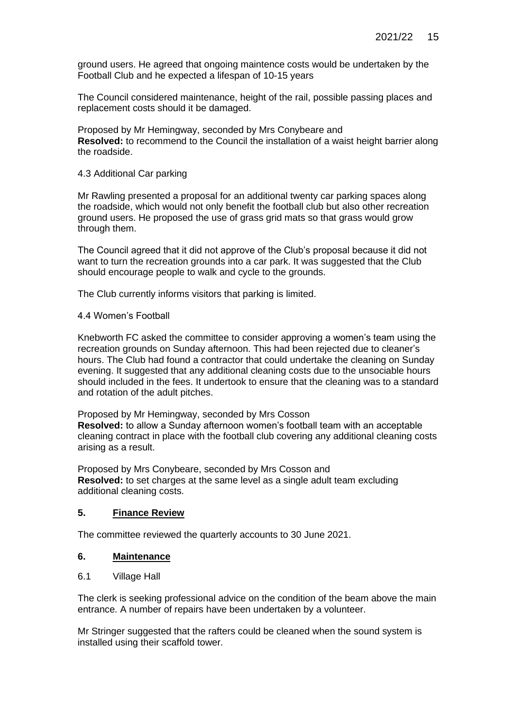ground users. He agreed that ongoing maintence costs would be undertaken by the Football Club and he expected a lifespan of 10-15 years

The Council considered maintenance, height of the rail, possible passing places and replacement costs should it be damaged.

Proposed by Mr Hemingway, seconded by Mrs Conybeare and **Resolved:** to recommend to the Council the installation of a waist height barrier along the roadside.

### 4.3 Additional Car parking

Mr Rawling presented a proposal for an additional twenty car parking spaces along the roadside, which would not only benefit the football club but also other recreation ground users. He proposed the use of grass grid mats so that grass would grow through them.

The Council agreed that it did not approve of the Club's proposal because it did not want to turn the recreation grounds into a car park. It was suggested that the Club should encourage people to walk and cycle to the grounds.

The Club currently informs visitors that parking is limited.

### 4.4 Women's Football

Knebworth FC asked the committee to consider approving a women's team using the recreation grounds on Sunday afternoon. This had been rejected due to cleaner's hours. The Club had found a contractor that could undertake the cleaning on Sunday evening. It suggested that any additional cleaning costs due to the unsociable hours should included in the fees. It undertook to ensure that the cleaning was to a standard and rotation of the adult pitches.

Proposed by Mr Hemingway, seconded by Mrs Cosson **Resolved:** to allow a Sunday afternoon women's football team with an acceptable cleaning contract in place with the football club covering any additional cleaning costs arising as a result.

Proposed by Mrs Conybeare, seconded by Mrs Cosson and **Resolved:** to set charges at the same level as a single adult team excluding additional cleaning costs.

## **5. Finance Review**

The committee reviewed the quarterly accounts to 30 June 2021.

## **6. Maintenance**

6.1 Village Hall

The clerk is seeking professional advice on the condition of the beam above the main entrance. A number of repairs have been undertaken by a volunteer.

Mr Stringer suggested that the rafters could be cleaned when the sound system is installed using their scaffold tower.